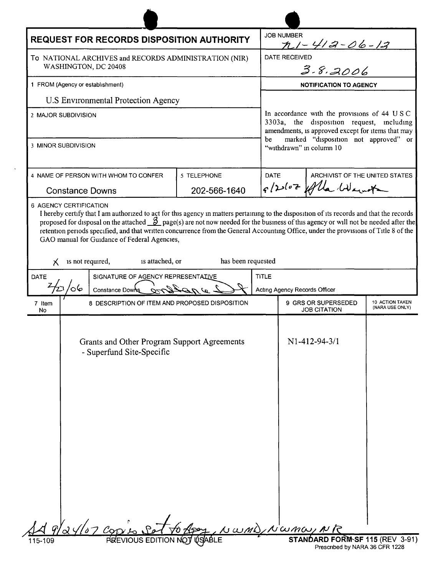| <b>REQUEST FOR RECORDS DISPOSITION AUTHORITY</b>                              |    |                                                                                                                                                                                                                                                                                                                                                                               |                    |              | <b>JOB NUMBER</b><br>n1-412-06-12                                                                                                                                                                                         |                                    |  |
|-------------------------------------------------------------------------------|----|-------------------------------------------------------------------------------------------------------------------------------------------------------------------------------------------------------------------------------------------------------------------------------------------------------------------------------------------------------------------------------|--------------------|--------------|---------------------------------------------------------------------------------------------------------------------------------------------------------------------------------------------------------------------------|------------------------------------|--|
| To NATIONAL ARCHIVES and RECORDS ADMINISTRATION (NIR)<br>WASHINGTON, DC 20408 |    |                                                                                                                                                                                                                                                                                                                                                                               |                    |              | IVED<br>3-8,2006<br><b>DATE RECEIVED</b>                                                                                                                                                                                  |                                    |  |
|                                                                               |    |                                                                                                                                                                                                                                                                                                                                                                               |                    |              |                                                                                                                                                                                                                           |                                    |  |
| 1 FROM (Agency or establishment)                                              |    |                                                                                                                                                                                                                                                                                                                                                                               |                    |              | <b>NOTIFICATION TO AGENCY</b>                                                                                                                                                                                             |                                    |  |
| U.S Environmental Protection Agency                                           |    |                                                                                                                                                                                                                                                                                                                                                                               |                    |              |                                                                                                                                                                                                                           |                                    |  |
| 2 MAJOR SUBDIVISION                                                           |    |                                                                                                                                                                                                                                                                                                                                                                               |                    |              | In accordance with the provisions of 44 U S C<br>3303a, the disposition request, including<br>amendments, is approved except for items that may<br>marked "disposition not approved" or<br>be<br>"withdrawn" in column 10 |                                    |  |
| 3 MINOR SUBDIVISION                                                           |    |                                                                                                                                                                                                                                                                                                                                                                               |                    |              |                                                                                                                                                                                                                           |                                    |  |
| 4 NAME OF PERSON WITH WHOM TO CONFER                                          |    |                                                                                                                                                                                                                                                                                                                                                                               | 5 TELEPHONE        |              | DATE<br>ARCHIVIST OF THE UNITED STATES<br>g/2010Z folla Went                                                                                                                                                              |                                    |  |
| <b>Constance Downs</b>                                                        |    |                                                                                                                                                                                                                                                                                                                                                                               | 202-566-1640       |              |                                                                                                                                                                                                                           |                                    |  |
| х                                                                             |    | proposed for disposal on the attached $\frac{3}{2}$ page(s) are not now needed for the business of this agency or will not be needed after the<br>retention periods specified, and that written concurrence from the General Accounting Office, under the provisions of Title 8 of the<br>GAO manual for Guidance of Federal Agencies,<br>is not required,<br>is attached, or | has been requested |              |                                                                                                                                                                                                                           |                                    |  |
| DATE<br>SIGNATURE OF AGENCY REPRESENTATIVE                                    |    |                                                                                                                                                                                                                                                                                                                                                                               |                    | <b>TITLE</b> |                                                                                                                                                                                                                           |                                    |  |
|                                                                               | ০6 | Constance Downs                                                                                                                                                                                                                                                                                                                                                               |                    |              | Acting Agency Records Officer                                                                                                                                                                                             |                                    |  |
| 7 Item<br>No                                                                  |    | 8 DESCRIPTION OF ITEM AND PROPOSED DISPOSITION                                                                                                                                                                                                                                                                                                                                |                    |              | 9 GRS OR SUPERSEDED<br><b>JOB CITATION</b>                                                                                                                                                                                | 10 ACTION TAKEN<br>(NARA USE ONLY) |  |
|                                                                               |    | Grants and Other Program Support Agreements<br>- Superfund Site-Specific                                                                                                                                                                                                                                                                                                      |                    |              | N1-412-94-3/1                                                                                                                                                                                                             |                                    |  |
| 115-109                                                                       |    | <b>FREVIOUS EDI</b>                                                                                                                                                                                                                                                                                                                                                           |                    |              | wmD/Nwmw                                                                                                                                                                                                                  | <b>FORM-SF 115 (REV 3-91)</b>      |  |

J.

ر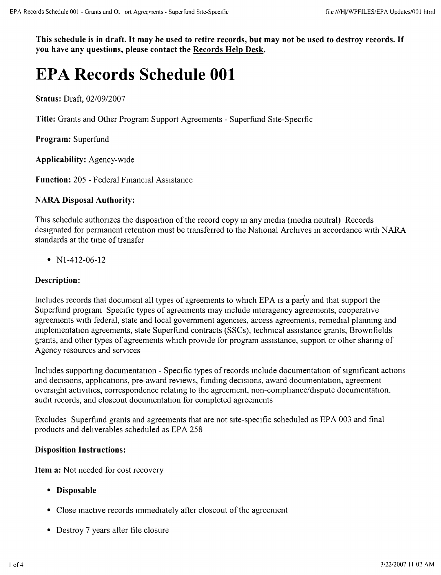This schedule is in draft. It may be used to retire records, but may not be used to destroy records. If **you have any questions. please contact the Records Help Desk.**

# **EPA Records Schedule 001**

**Status:** Draft, 02/09/2007

**Title:** Grants and Other Program Support Agreements - Superfund SIte-Specific

**Program:** Superfund

**Applicability:** Agency-wide

**Function:** 205 - Federal Financial Assistance

### **NARA Disposal Authority:**

This schedule authorizes the disposition of the record copy in any media (media neutral) Records designated for permanent retention must be transferred to the National Archives in accordance with NARA standards at the time of transfer

•  $N1-412-06-12$ 

### **Description:**

Includes records that document all types of agreements to which EPA is a party and that support the Superfund program Specific types of agreements may include interagency agreements, cooperative agreements WIth federal, state and local government agencies, access agreements, remedial planmng and implementation agreements, state Superfund contracts (SSCs), technical assistance grants, Brownfields grants, and other types of agreements which provide for program assistance, support or other shanng of Agency resources and services

Includes supportmg documentation - Specific types of records mclude documentation of significant actions and decisions, applications, pre-award reviews, funding decisions, award documentation, agreement oversight actrvities, correspondence relatmg to the agreement, non-compliance/dispute documentation, audit records, and closeout documentation for completed agreements

Excludes Superfund grants and agreements that are not site-specific scheduled as EPA 003 and final products and dehverables scheduled as EPA 258

### **Disposition Instructions:**

**Item a:** Not needed for cost recovery

- **• Disposable**
- Close inactive records immediately after closeout of the agreement
- Destroy 7 years after file closure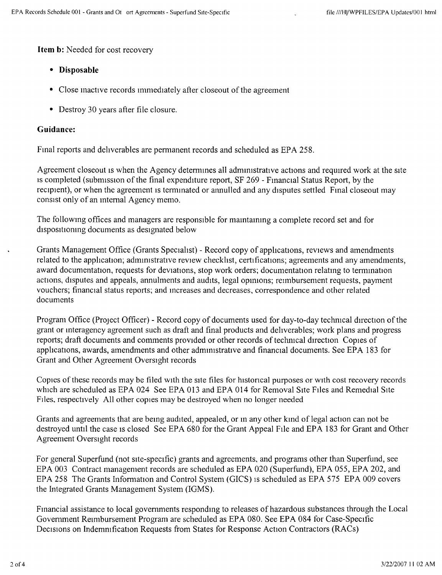**Item b:** Needed for cost recovery

- **• Disposable**
- Close inactive records immediately after closeout of the agreement
- Destroy 30 years after file closure.

#### **Guidance:**

Final reports and dehverables are permanent records and scheduled as EPA 258.

Agreement closeout is when the Agency determines all administrative actions and required work at the site Is completed (submission of the final expenditure report, SF 269 - Financial Status Report, by the recipient), or when the agreement is terminated or annulled and any disputes settled Final closeout may consist only of an mternal Agency memo.

The following offices and managers are responsible for mamtammg a complete record set and for dispositioning documents as designated below

Grants Management Office (Grants Specialist) - Record copy of apphcations, reviews and amendments related to the application; administrative review checklist, certifications; agreements and any amendments, award documentation, requests for deviations, stop work orders; documentation relating to ternunation actions, disputes and appeals, annulments and audits, legal opinions; reimbursement requests, payment vouchers; financial status reports; and increases and decreases, correspondence and other related documents

Program Office (Project Officer) - Record copy of documents used for day-to-day technical direction of the grant or interagency agreement such as draft and final products and dehverables; work plans and progress reports; draft documents and comments provided or other records of techrucal direction Copies of applications, awards, amendments and other admnustratrve and financial documents. See EPA 183 for Grant and Other Agreement Oversight records

Copies of these records may be filed With the site files for histoncal purposes or With cost recovery records which are scheduled as EPA 024 See EPA 013 and EPA 014 for Removal SIte Files and Remedial Site Files. respectively All other copies may be destroyed when no longer needed

Grants and agreements that are being audited, appealed, or in any other kind of legal action can not be destroyed until the case is closed See EPA 680 for the Grant Appeal File and EPA 183 for Grant and Other Agreement Oversight records

For general Superfund (not site-specific) grants and agreements. and programs other than Superfund, see EPA 003 Contract management records are scheduled as EPA 020 (Superfund), EPA 055, EPA 202, and EPA 258 The Grants Information and Control System (GICS) IS scheduled as EPA 575 EPA 009 covers the Integrated Grants Management System (IGMS).

Financial assistance to local governments responding to releases of hazardous substances through the Local Government Reimbursement Program are scheduled as EPA 080. See EPA 084 for Case-Specific Decisions on Indemnification Requests from States for Response Action Contractors (RACs)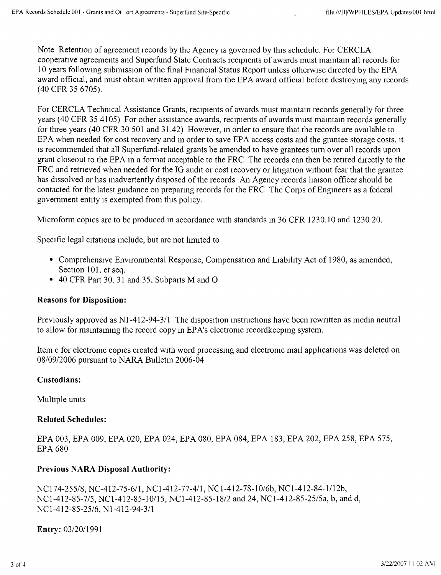Note Retention of agreement records by the Agency IS govemed by this schedule. For CERCLA cooperative agreements and Superfund State Contracts recipients of awards must mamtam all records for 10 years following subrmssion of the final Financial Status Report unless otherwise directed by the EPA award official, and must obtain written approval from the EPA award official before destroying any records (40 CFR 35 6705).

For CERCLA Techmcal Assistance Grants, recipients of awards must maintam records generally for three years (40 CFR 35 4105) For other assistance awards, recipients of awards must maintam records generally for three years (40 CFR 30 501 and 31.42) However, m order to ensure that the records are available to EPA when needed for cost recovery and in order to save EPA access costs and the grantee storage costs, It IS recommended that all Superfund-related grants be amended to have grantees tum over all records upon grant closeout to the EPA in a fonnat acceptable to the FRC The records can then be retired directly to the FRC and retrieved when needed for the IG audit or cost recovery or litigation without fear that the grantee has dissolved or has inadvertently disposed of the records An Agency records liaison officer should be contacted for the latest guidance on prepanng records for the FRC The Corps of Engineers as a federal government entity is exempted from this policy.

Microform copies are to be produced m accordance WIth standards in 36 CFR 1230.10 and 123020.

Specific legal citations include, but are not limited to

- Comprehensive Environmental Response, Compensation and Liabihty Act of 19S0, as amended, Section 101, et seq.
- <sup>40</sup> CFR Part 30, <sup>31</sup> and 35, Subparts <sup>M</sup> and 0

## **Reasons for Disposition:**

Previously approved as N1-412-94-3/1 The disposition instructions have been rewritten as media neutra to allow for mamtammg the record copy m EPA's electromc recordkeepmg system.

Item c for electromc copies created WIth word processing and electromc mail apphcations was deleted on *OS/0912006* pursuant to NARA Bulletm 2006-04

## **Custodians:**

Multiple umts

# **Related Schedules:**

EPA 003, EPA 009, EPA 020, EPA 024, EPA OSO,EPA OS4,EPA IS3, EPA 202, EPA 258, EPA 575, EPA 680

# **Previous NARA Disposal Authority:**

*NCI74-255/8,* NC-412-75-6/l, NCI-412-77-41l, NCI-412-7S-1 *0/6b,* NC 1-412-S4-11l2b, *NCI-412-85-7/5,* NCI-412-S5-101l5, *NCI-412-S5-1S/2* and 24, *NCI-412-S5-25/5a,* b, and d, *NCI-412-85-25/6,* NI-412-94-31l

**Entry:** *0312011991*